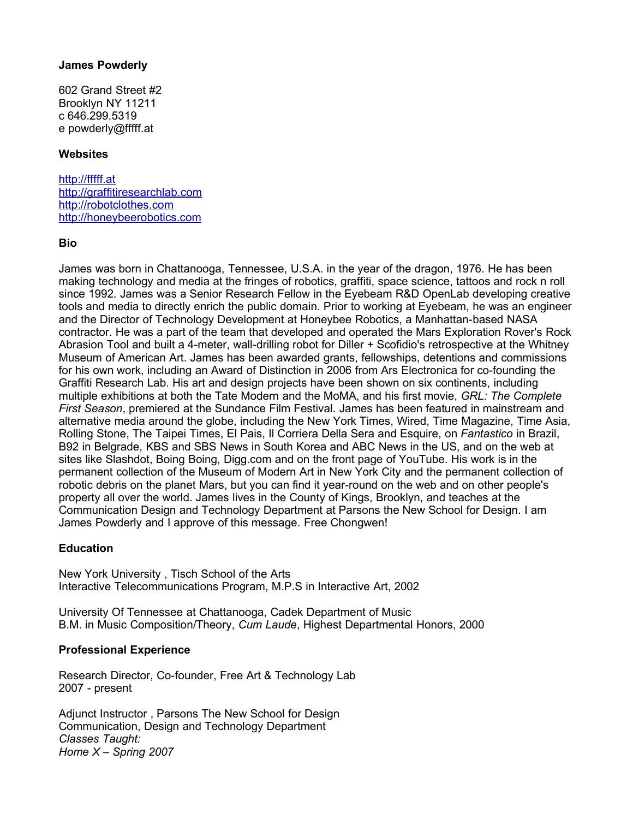### **James Powderly**

602 Grand Street #2 Brooklyn NY 11211 c 646.299.5319 e powderly@fffff.at

## **Websites**

[http://fffff.at](http://fffff.at/) [http://graffitiresearchlab.com](http://graffitiresearchlab.com/) [http://robotclothes.com](http://robotclothes.com/) [http://honeybeerobotics.com](http://honeybeerobotics.com/)

### **Bio**

James was born in Chattanooga, Tennessee, U.S.A. in the year of the dragon, 1976. He has been making technology and media at the fringes of robotics, graffiti, space science, tattoos and rock n roll since 1992. James was a Senior Research Fellow in the Eyebeam R&D OpenLab developing creative tools and media to directly enrich the public domain. Prior to working at Eyebeam, he was an engineer and the Director of Technology Development at Honeybee Robotics, a Manhattan-based NASA contractor. He was a part of the team that developed and operated the Mars Exploration Rover's Rock Abrasion Tool and built a 4-meter, wall-drilling robot for Diller + Scofidio's retrospective at the Whitney Museum of American Art. James has been awarded grants, fellowships, detentions and commissions for his own work, including an Award of Distinction in 2006 from Ars Electronica for co-founding the Graffiti Research Lab. His art and design projects have been shown on six continents, including multiple exhibitions at both the Tate Modern and the MoMA, and his first movie, *GRL: The Complete First Season*, premiered at the Sundance Film Festival. James has been featured in mainstream and alternative media around the globe, including the New York Times, Wired, Time Magazine, Time Asia, Rolling Stone, The Taipei Times, El Pais, Il Corriera Della Sera and Esquire, on *Fantastico* in Brazil, B92 in Belgrade, KBS and SBS News in South Korea and ABC News in the US, and on the web at sites like Slashdot, Boing Boing, Digg.com and on the front page of YouTube. His work is in the permanent collection of the Museum of Modern Art in New York City and the permanent collection of robotic debris on the planet Mars, but you can find it year-round on the web and on other people's property all over the world. James lives in the County of Kings, Brooklyn, and teaches at the Communication Design and Technology Department at Parsons the New School for Design. I am James Powderly and I approve of this message. Free Chongwen!

### **Education**

New York University , Tisch School of the Arts Interactive Telecommunications Program, M.P.S in Interactive Art, 2002

University Of Tennessee at Chattanooga, Cadek Department of Music B.M. in Music Composition/Theory, *Cum Laude*, Highest Departmental Honors, 2000

### **Professional Experience**

Research Director, Co-founder, Free Art & Technology Lab 2007 - present

Adjunct Instructor , Parsons The New School for Design Communication, Design and Technology Department *Classes Taught: Home X – Spring 2007*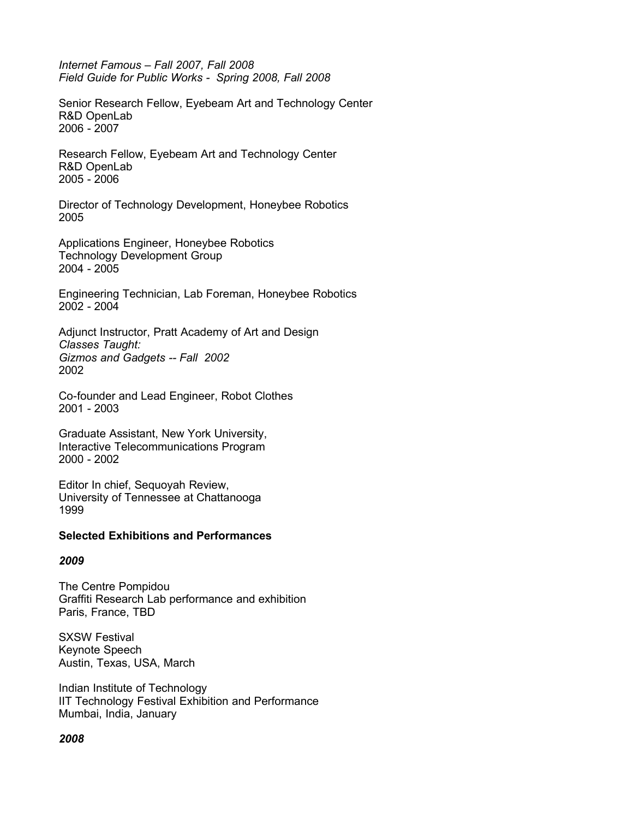*Internet Famous – Fall 2007, Fall 2008 Field Guide for Public Works - Spring 2008, Fall 2008*

Senior Research Fellow, Eyebeam Art and Technology Center R&D OpenLab 2006 - 2007

Research Fellow, Eyebeam Art and Technology Center R&D OpenLab 2005 - 2006

Director of Technology Development, Honeybee Robotics 2005

Applications Engineer, Honeybee Robotics Technology Development Group 2004 - 2005

Engineering Technician, Lab Foreman, Honeybee Robotics 2002 - 2004

Adjunct Instructor, Pratt Academy of Art and Design *Classes Taught: Gizmos and Gadgets -- Fall 2002* 2002

Co-founder and Lead Engineer, Robot Clothes 2001 - 2003

Graduate Assistant, New York University, Interactive Telecommunications Program 2000 - 2002

Editor In chief, Sequoyah Review, University of Tennessee at Chattanooga 1999

#### **Selected Exhibitions and Performances**

### *2009*

The Centre Pompidou Graffiti Research Lab performance and exhibition Paris, France, TBD

SXSW Festival Keynote Speech Austin, Texas, USA, March

Indian Institute of Technology IIT Technology Festival Exhibition and Performance Mumbai, India, January

### *2008*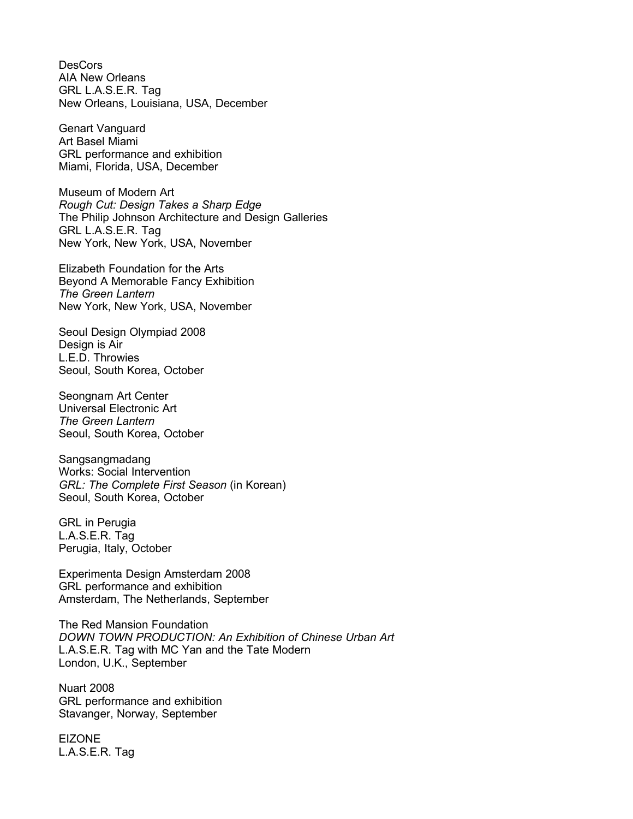**DesCors** AIA New Orleans GRL L.A.S.E.R. Tag New Orleans, Louisiana, USA, December

Genart Vanguard Art Basel Miami GRL performance and exhibition Miami, Florida, USA, December

Museum of Modern Art *Rough Cut: Design Takes a Sharp Edge* The Philip Johnson Architecture and Design Galleries GRL L.A.S.E.R. Tag New York, New York, USA, November

Elizabeth Foundation for the Arts Beyond A Memorable Fancy Exhibition *The Green Lantern* New York, New York, USA, November

Seoul Design Olympiad 2008 Design is Air L.E.D. Throwies Seoul, South Korea, October

Seongnam Art Center Universal Electronic Art *The Green Lantern* Seoul, South Korea, October

Sangsangmadang Works: Social Intervention *GRL: The Complete First Season* (in Korean) Seoul, South Korea, October

GRL in Perugia L.A.S.E.R. Tag Perugia, Italy, October

Experimenta Design Amsterdam 2008 GRL performance and exhibition Amsterdam, The Netherlands, September

The Red Mansion Foundation *DOWN TOWN PRODUCTION: An Exhibition of Chinese Urban Art* L.A.S.E.R. Tag with MC Yan and the Tate Modern London, U.K., September

Nuart 2008 GRL performance and exhibition Stavanger, Norway, September

EIZONE L.A.S.E.R. Tag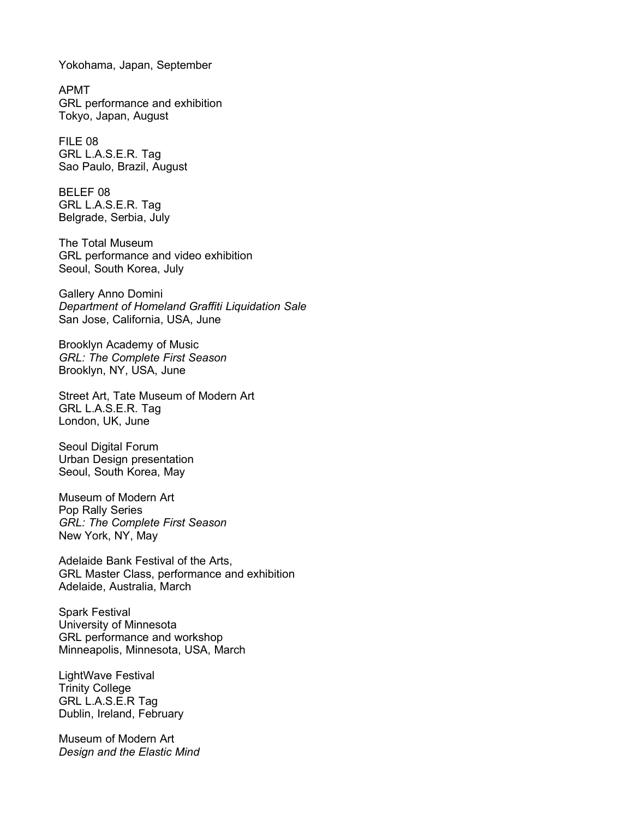Yokohama, Japan, September

APMT GRL performance and exhibition Tokyo, Japan, August

FILE 08 GRL L.A.S.E.R. Tag Sao Paulo, Brazil, August

BELEF 08 GRL L.A.S.E.R. Tag Belgrade, Serbia, July

The Total Museum GRL performance and video exhibition Seoul, South Korea, July

Gallery Anno Domini *Department of Homeland Graffiti Liquidation Sale* San Jose, California, USA, June

Brooklyn Academy of Music *GRL: The Complete First Season* Brooklyn, NY, USA, June

Street Art, Tate Museum of Modern Art GRL L.A.S.E.R. Tag London, UK, June

Seoul Digital Forum Urban Design presentation Seoul, South Korea, May

Museum of Modern Art Pop Rally Series *GRL: The Complete First Season* New York, NY, May

Adelaide Bank Festival of the Arts, GRL Master Class, performance and exhibition Adelaide, Australia, March

Spark Festival University of Minnesota GRL performance and workshop Minneapolis, Minnesota, USA, March

LightWave Festival Trinity College GRL L.A.S.E.R Tag Dublin, Ireland, February

Museum of Modern Art *Design and the Elastic Mind*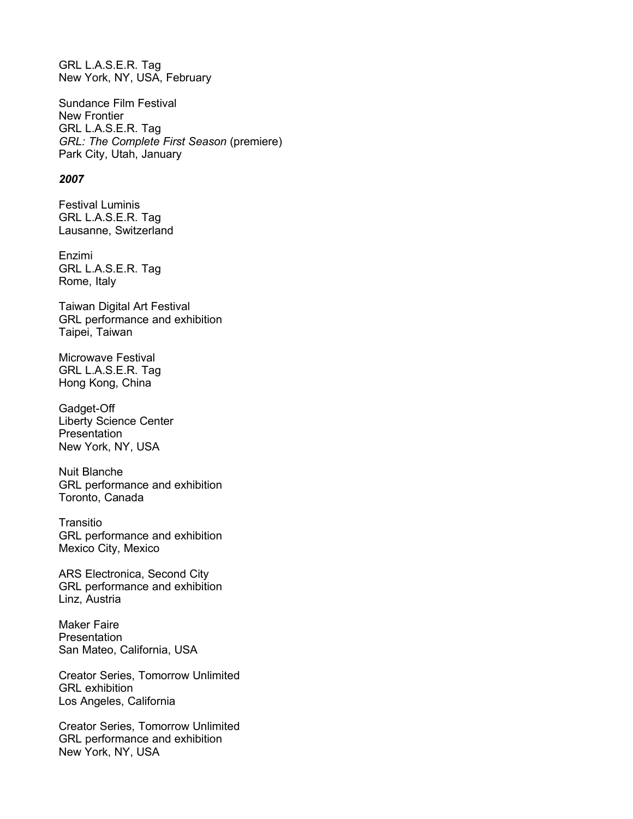GRL L.A.S.E.R. Tag New York, NY, USA, February

Sundance Film Festival New Frontier GRL L.A.S.E.R. Tag *GRL: The Complete First Season* (premiere) Park City, Utah, January

#### *2007*

Festival Luminis GRL L.A.S.E.R. Tag Lausanne, Switzerland

Enzimi GRL L.A.S.E.R. Tag Rome, Italy

Taiwan Digital Art Festival GRL performance and exhibition Taipei, Taiwan

Microwave Festival GRL L.A.S.E.R. Tag Hong Kong, China

Gadget-Off Liberty Science Center Presentation New York, NY, USA

Nuit Blanche GRL performance and exhibition Toronto, Canada

**Transitio** GRL performance and exhibition Mexico City, Mexico

ARS Electronica, Second City GRL performance and exhibition Linz, Austria

Maker Faire **Presentation** San Mateo, California, USA

Creator Series, Tomorrow Unlimited GRL exhibition Los Angeles, California

Creator Series, Tomorrow Unlimited GRL performance and exhibition New York, NY, USA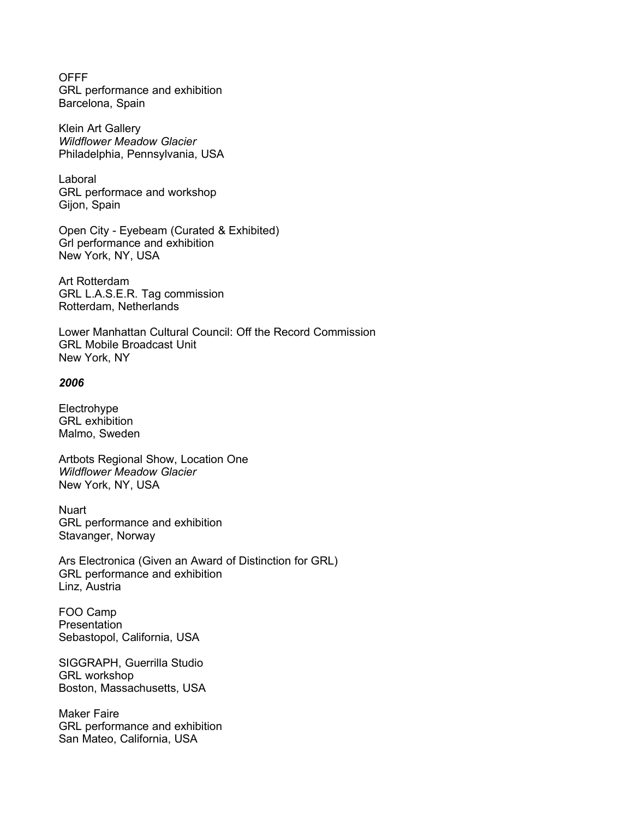OFFF GRL performance and exhibition Barcelona, Spain

Klein Art Gallery *Wildflower Meadow Glacier* Philadelphia, Pennsylvania, USA

Laboral GRL performace and workshop Gijon, Spain

Open City - Eyebeam (Curated & Exhibited) Grl performance and exhibition New York, NY, USA

Art Rotterdam GRL L.A.S.E.R. Tag commission Rotterdam, Netherlands

Lower Manhattan Cultural Council: Off the Record Commission GRL Mobile Broadcast Unit New York, NY

#### *2006*

Electrohype GRL exhibition Malmo, Sweden

Artbots Regional Show, Location One *Wildflower Meadow Glacier* New York, NY, USA

Nuart GRL performance and exhibition Stavanger, Norway

Ars Electronica (Given an Award of Distinction for GRL) GRL performance and exhibition Linz, Austria

FOO Camp **Presentation** Sebastopol, California, USA

SIGGRAPH, Guerrilla Studio GRL workshop Boston, Massachusetts, USA

Maker Faire GRL performance and exhibition San Mateo, California, USA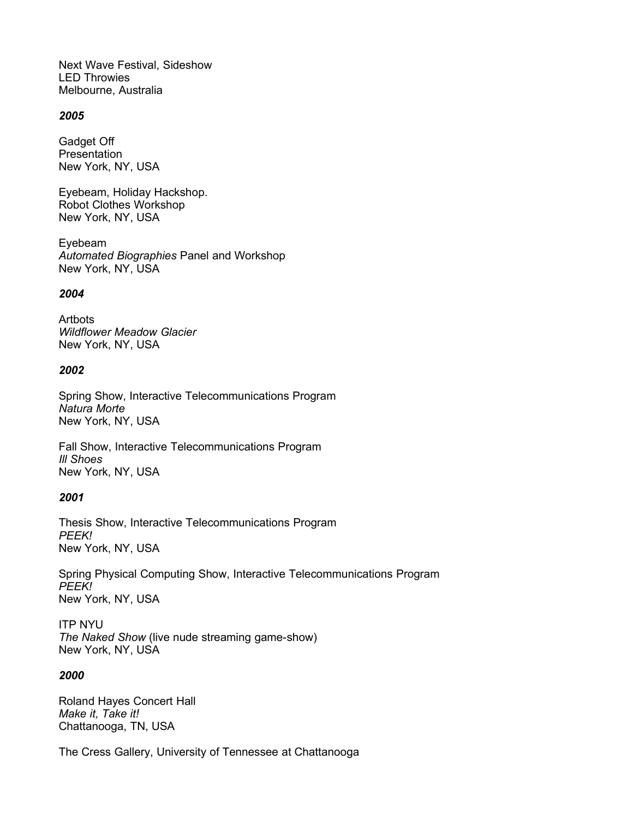Next Wave Festival, Sideshow LED Throwies Melbourne, Australia

#### *2005*

Gadget Off Presentation New York, NY, USA

Eyebeam, Holiday Hackshop. Robot Clothes Workshop New York, NY, USA

Eyebeam *Automated Biographies* Panel and Workshop New York, NY, USA

#### *2004*

**Artbots** *Wildflower Meadow Glacier* New York, NY, USA

### *2002*

Spring Show, Interactive Telecommunications Program *Natura Morte* New York, NY, USA

Fall Show, Interactive Telecommunications Program *Ill Shoes* New York, NY, USA

### *2001*

Thesis Show, Interactive Telecommunications Program *PEEK!* New York, NY, USA

Spring Physical Computing Show, Interactive Telecommunications Program *PEEK!* New York, NY, USA

ITP NYU *The Naked Show* (live nude streaming game-show) New York, NY, USA

### *2000*

Roland Hayes Concert Hall *Make it, Take it!* Chattanooga, TN, USA

The Cress Gallery, University of Tennessee at Chattanooga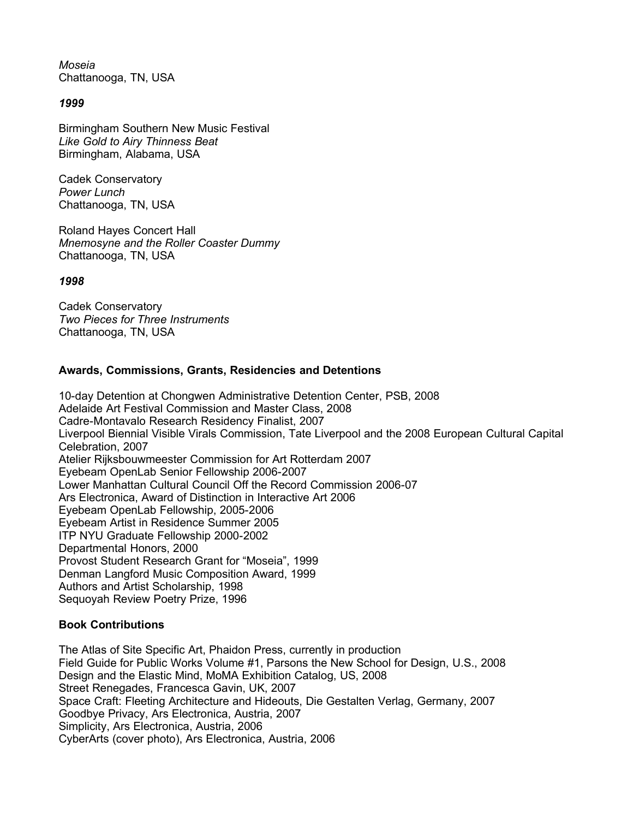*Moseia* Chattanooga, TN, USA

## *1999*

Birmingham Southern New Music Festival *Like Gold to Airy Thinness Beat* Birmingham, Alabama, USA

Cadek Conservatory *Power Lunch* Chattanooga, TN, USA

Roland Hayes Concert Hall *Mnemosyne and the Roller Coaster Dummy* Chattanooga, TN, USA

### *1998*

Cadek Conservatory *Two Pieces for Three Instruments* Chattanooga, TN, USA

## **Awards, Commissions, Grants, Residencies and Detentions**

10-day Detention at Chongwen Administrative Detention Center, PSB, 2008 Adelaide Art Festival Commission and Master Class, 2008 Cadre-Montavalo Research Residency Finalist, 2007 Liverpool Biennial Visible Virals Commission, Tate Liverpool and the 2008 European Cultural Capital Celebration, 2007 Atelier Rijksbouwmeester Commission for Art Rotterdam 2007 Eyebeam OpenLab Senior Fellowship 2006-2007 Lower Manhattan Cultural Council Off the Record Commission 2006-07 Ars Electronica, Award of Distinction in Interactive Art 2006 Eyebeam OpenLab Fellowship, 2005-2006 Eyebeam Artist in Residence Summer 2005 ITP NYU Graduate Fellowship 2000-2002 Departmental Honors, 2000 Provost Student Research Grant for "Moseia", 1999 Denman Langford Music Composition Award, 1999 Authors and Artist Scholarship, 1998 Sequoyah Review Poetry Prize, 1996

# **Book Contributions**

The Atlas of Site Specific Art, Phaidon Press, currently in production Field Guide for Public Works Volume #1, Parsons the New School for Design, U.S., 2008 Design and the Elastic Mind, MoMA Exhibition Catalog, US, 2008 Street Renegades, Francesca Gavin, UK, 2007 Space Craft: Fleeting Architecture and Hideouts, Die Gestalten Verlag, Germany, 2007 Goodbye Privacy, Ars Electronica, Austria, 2007 Simplicity, Ars Electronica, Austria, 2006 CyberArts (cover photo), Ars Electronica, Austria, 2006